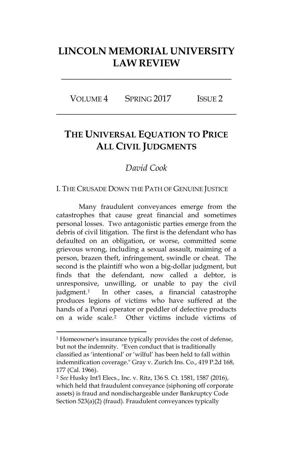# **LINCOLN MEMORIAL UNIVERSITY LAW REVIEW**

**\_\_\_\_\_\_\_\_\_\_\_\_\_\_\_\_\_\_\_\_\_\_\_\_\_\_\_\_\_\_\_\_\_\_**

VOLUME 4 SPRING 2017 ISSUE 2 **\_\_\_\_\_\_\_\_\_\_\_\_\_\_\_\_\_\_\_\_\_\_\_\_\_\_\_\_\_\_\_\_\_\_\_\_**

## **THE UNIVERSAL EQUATION TO PRICE ALL CIVIL JUDGMENTS**

### *David Cook*

#### I. THE CRUSADE DOWN THE PATH OF GENUINE JUSTICE

Many fraudulent conveyances emerge from the catastrophes that cause great financial and sometimes personal losses. Two antagonistic parties emerge from the debris of civil litigation. The first is the defendant who has defaulted on an obligation, or worse, committed some grievous wrong, including a sexual assault, maiming of a person, brazen theft, infringement, swindle or cheat. The second is the plaintiff who won a big-dollar judgment, but finds that the defendant, now called a debtor, is unresponsive, unwilling, or unable to pay the civil judgment.[1](#page-0-0) In other cases, a financial catastrophe produces legions of victims who have suffered at the hands of a Ponzi operator or peddler of defective products on a wide scale.[2](#page-0-1) Other victims include victims of

<span id="page-0-0"></span><sup>1</sup> Homeowner's insurance typically provides the cost of defense, but not the indemnity. "Even conduct that is traditionally classified as 'intentional' or 'wilful' has been held to fall within indemnification coverage." Gray v. Zurich Ins. Co., 419 P.2d 168, 177 (Cal. 1966).

<span id="page-0-1"></span><sup>2</sup> *See* Husky Int'l Elecs., Inc. v. Ritz, 136 S. Ct. 1581, 1587 (2016), which held that fraudulent conveyance (siphoning off corporate assets) is fraud and nondischargeable under Bankruptcy Code Section 523(a)(2) (fraud). Fraudulent conveyances typically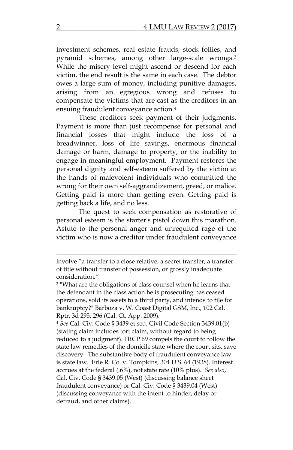investment schemes, real estate frauds, stock follies, and pyramid schemes, among other large-scale wrongs.[3](#page-1-0) While the misery level might ascend or descend for each victim, the end result is the same in each case. The debtor owes a large sum of money, including punitive damages, arising from an egregious wrong and refuses to compensate the victims that are cast as the creditors in an ensuing fraudulent conveyance action.[4](#page-1-1)

These creditors seek payment of their judgments. Payment is more than just recompense for personal and financial losses that might include the loss of a breadwinner, loss of life savings, enormous financial damage or harm, damage to property, or the inability to engage in meaningful employment. Payment restores the personal dignity and self-esteem suffered by the victim at the hands of malevolent individuals who committed the wrong for their own self-aggrandizement, greed, or malice. Getting paid is more than getting even. Getting paid is getting back a life, and no less.

The quest to seek compensation as restorative of personal esteem is the starter's pistol down this marathon. Astute to the personal anger and unrequited rage of the victim who is now a creditor under fraudulent conveyance

involve "a transfer to a close relative, a secret transfer, a transfer of title without transfer of possession, or grossly inadequate consideration*."*

<span id="page-1-0"></span><sup>&</sup>lt;sup>3</sup> "What are the obligations of class counsel when he learns that the defendant in the class action he is prosecuting has ceased operations, sold its assets to a third party, and intends to file for bankruptcy?" Barboza v. W. Coast Digital GSM, Inc., 102 Cal. Rptr. 3d 295, 296 (Cal. Ct. App. 2009).

<span id="page-1-1"></span><sup>4</sup> *See* Cal. Civ. Code § 3439 et seq. Civil Code Section 3439.01(b) (stating claim includes tort claim, without regard to being reduced to a judgment). FRCP 69 compels the court to follow the state law remedies of the domicile state where the court sits, save discovery. The substantive body of fraudulent conveyance law is state law. Erie R. Co. v. Tompkins*,* 304 U.S. 64 (1938). Interest accrues at the federal (.6%), not state rate (10% plus). *See also*, Cal. Civ. Code § 3439.05 (West) (discussing balance sheet fraudulent conveyance) or Cal. Civ. Code § 3439.04 (West) (discussing conveyance with the intent to hinder, delay or defraud, and other claims).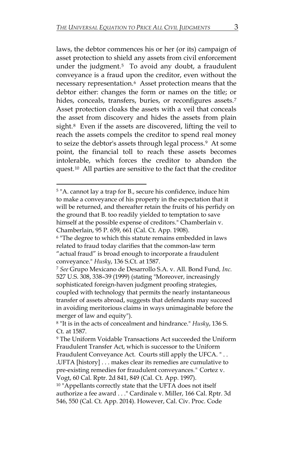laws, the debtor commences his or her (or its) campaign of asset protection to shield any assets from civil enforcement under the judgment. $5$  To avoid any doubt, a fraudulent conveyance is a fraud upon the creditor, even without the necessary representation.[6](#page-2-1) Asset protection means that the debtor either: changes the form or names on the title; or hides, conceals, transfers, buries, or reconfigures assets.<sup>7</sup> Asset protection cloaks the assets with a veil that conceals the asset from discovery and hides the assets from plain sight.<sup>8</sup> Even if the assets are discovered, lifting the veil to reach the assets compels the creditor to spend real money to seize the debtor's assets through legal process.<sup>9</sup> At some point, the financial toll to reach these assets becomes intolerable, which forces the creditor to abandon the quest.[10](#page-2-5) All parties are sensitive to the fact that the creditor

 $\overline{a}$ 

<span id="page-2-0"></span><sup>5</sup> "A. cannot lay a trap for B., secure his confidence, induce him to make a conveyance of his property in the expectation that it will be returned, and thereafter retain the fruits of his perfidy on the ground that B. too readily yielded to temptation to save himself at the possible expense of creditors." Chamberlain v. Chamberlain, 95 P. 659, 661 (Cal. Ct. App. 1908).

<span id="page-2-1"></span><sup>6</sup> "The degree to which this statute remains embedded in laws related to fraud today clarifies that the common-law term "actual fraud" is broad enough to incorporate a fraudulent conveyance." *Husky*, 136 S.Ct. at 1587.

<span id="page-2-2"></span><sup>7</sup> *See* Grupo Mexicano de Desarrollo S.A. v. All. Bond Fund*, Inc.* 527 U.S. 308, 338–39 (1999) (stating "Moreover, increasingly sophisticated foreign-haven judgment proofing strategies, coupled with technology that permits the nearly instantaneous transfer of assets abroad, suggests that defendants may succeed in avoiding meritorious claims in ways unimaginable before the merger of law and equity").

<span id="page-2-3"></span><sup>8</sup> "It is in the acts of concealment and hindrance." *Husky*, 136 S. Ct. at 1587.

<span id="page-2-4"></span><sup>9</sup> The Uniform Voidable Transactions Act succeeded the Uniform Fraudulent Transfer Act, which is successor to the Uniform

Fraudulent Conveyance Act. Courts still apply the UFCA. " . . .UFTA [history] . . . makes clear its remedies are cumulative to pre-existing remedies for fraudulent conveyances*."* Cortez v.

Vogt, 60 Cal. Rptr. 2d 841, 849 (Cal. Ct. App. 1997).

<span id="page-2-5"></span><sup>&</sup>lt;sup>10</sup> "Appellants correctly state that the UFTA does not itself authorize a fee award . . ." Cardinale v. Miller, 166 Cal. Rptr. 3d 546, 550 (Cal. Ct. App. 2014). However, Cal. Civ. Proc. Code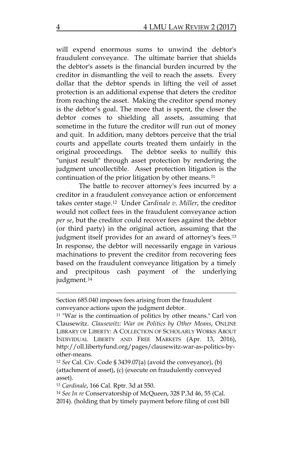will expend enormous sums to unwind the debtor's fraudulent conveyance. The ultimate barrier that shields the debtor's assets is the financial burden incurred by the creditor in dismantling the veil to reach the assets. Every dollar that the debtor spends in lifting the veil of asset protection is an additional expense that deters the creditor from reaching the asset. Making the creditor spend money is the debtor's goal. The more that is spent, the closer the debtor comes to shielding all assets, assuming that sometime in the future the creditor will run out of money and quit. In addition, many debtors perceive that the trial courts and appellate courts treated them unfairly in the original proceedings. The debtor seeks to nullify this "unjust result" through asset protection by rendering the judgment uncollectible. Asset protection litigation is the continuation of the prior litigation by other means.<sup>[11](#page-3-0)</sup>

The battle to recover attorney's fees incurred by a creditor in a fraudulent conveyance action or enforcement takes center stage.[12](#page-3-1) Under *Cardinale v. Miller*, the creditor would not collect fees in the fraudulent conveyance action *per se*, but the creditor could recover fees against the debtor (or third party) in the original action, assuming that the judgment itself provides for an award of attorney's fees.[13](#page-3-2) In response, the debtor will necessarily engage in various machinations to prevent the creditor from recovering fees based on the fraudulent conveyance litigation by a timely and precipitous cash payment of the underlying judgment.[14](#page-3-3)

 $\overline{a}$ 

Section 685.040 imposes fees arising from the fraudulent conveyance actions upon the judgment debtor.

<span id="page-3-0"></span><sup>11</sup> "War is the continuation of politics by other means." Carl von Clausewitz. *Clausewitz: War on Politics by Other Means*, ONLINE LIBRARY OF LIBERTY: A COLLECTION OF SCHOLARLY WORKS ABOUT INDIVIDUAL LIBERTY AND FREE MARKETS (Apr. 13, 2016), http://oll.libertyfund.org/pages/clausewitz-war-as-politics-byother-means.

<span id="page-3-1"></span><sup>12</sup> *See* Cal. Civ. Code § 3439.07(a) (avoid the conveyance), (b) (attachment of asset), (c) (execute on fraudulently conveyed asset).

<span id="page-3-2"></span><sup>13</sup> *Cardinale*, 166 Cal. Rptr. 3d at 550.

<span id="page-3-3"></span><sup>14</sup> *See In re* Conservatorship of McQueen, 328 P.3d 46, 55 (Cal. 2014). (holding that by timely payment before filing of cost bill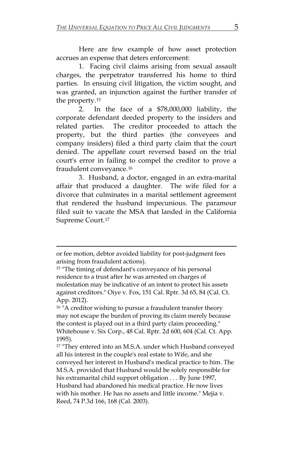Here are few example of how asset protection accrues an expense that deters enforcement:

1. Facing civil claims arising from sexual assault charges, the perpetrator transferred his home to third parties. In ensuing civil litigation, the victim sought, and was granted, an injunction against the further transfer of the property.[15](#page-4-0)

2. In the face of a \$78,000,000 liability, the corporate defendant deeded property to the insiders and related parties. The creditor proceeded to attach the property, but the third parties (the conveyees and company insiders) filed a third party claim that the court denied. The appellate court reversed based on the trial court's error in failing to compel the creditor to prove a fraudulent conveyance.[16](#page-4-1)

3. Husband, a doctor, engaged in an extra-marital affair that produced a daughter. The wife filed for a divorce that culminates in a marital settlement agreement that rendered the husband impecunious. The paramour filed suit to vacate the MSA that landed in the California Supreme Court.[17](#page-4-2)

or fee motion, debtor avoided liability for post-judgment fees arising from fraudulent actions).

<span id="page-4-0"></span><sup>&</sup>lt;sup>15</sup> "The timing of defendant's conveyance of his personal residence to a trust after he was arrested on charges of molestation may be indicative of an intent to protect his assets against creditors." Oiye v. Fox, 151 Cal. Rptr. 3d 65, 84 (Cal. Ct. App. 2012).

<span id="page-4-1"></span><sup>&</sup>lt;sup>16</sup> "A creditor wishing to pursue a fraudulent transfer theory may not escape the burden of proving its claim merely because the contest is played out in a third party claim proceeding." Whitehouse v. Six Corp., 48 Cal. Rptr. 2d 600, 604 (Cal. Ct. App. 1995).

<span id="page-4-2"></span><sup>&</sup>lt;sup>17</sup> "They entered into an M.S.A. under which Husband conveyed all his interest in the couple's real estate to Wife, and she conveyed her interest in Husband's medical practice to him. The M.S.A. provided that Husband would be solely responsible for his extramarital child support obligation . . . By June 1997, Husband had abandoned his medical practice. He now lives with his mother. He has no assets and little income." Mejia v. Reed, 74 P.3d 166, 168 (Cal. 2003).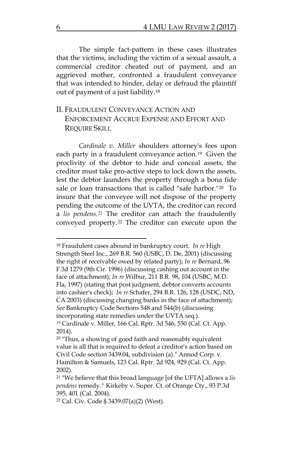The simple fact-pattern in these cases illustrates that the victims, including the victim of a sexual assault, a commercial creditor cheated out of payment, and an aggrieved mother, confronted a fraudulent conveyance that was intended to hinder, delay or defraud the plaintiff out of payment of a just liability.[18](#page-5-0)

#### II. FRAUDULENT CONVEYANCE ACTION AND ENFORCEMENT ACCRUE EXPENSE AND EFFORT AND REQUIRE SKILL

*Cardinale v. Miller* shoulders attorney's fees upon each party in a fraudulent conveyance action.<sup>19</sup> Given the proclivity of the debtor to hide and conceal assets, the creditor must take pro-active steps to lock down the assets, lest the debtor launders the property through a bona fide sale or loan transactions that is called "safe harbor."[20](#page-5-2) To insure that the conveyee will not dispose of the property pending the outcome of the UVTA, the creditor can record a *lis pendens.[21](#page-5-3)* The creditor can attach the fraudulently conveyed property.[22](#page-5-4) The creditor can execute upon the

 $\overline{a}$ 

<span id="page-5-0"></span><sup>18</sup> Fraudulent cases abound in bankruptcy court. *In re* High Strength Steel Inc., 269 B.R. 560 (USBC, D. De, 2001) (discussing the right of receivable owed by related party); *In re* Bernard, 96 F.3d 1279 (9th Cir. 1996) (discussing cashing out account in the face of attachment); *In re* Wilbur, 211 B.R. 98, 104 (USBC, M.D. Fla, 1997) (stating that post judgment, debtor converts accounts into cashier's check); *In re* Schafer, 294 B.R. 126, 128 (USDC, ND, CA 2003) (discussing changing banks in the face of attachment); *See* Bankruptcy Code Sections 548 and 544(b) (discussing incorporating state remedies under the UVTA seq.). *<sup>19</sup>* Cardinale v. Miller, 166 Cal. Rptr. 3d 546, 550 (Cal. Ct. App.

<span id="page-5-1"></span><sup>2014).</sup>

<span id="page-5-2"></span><sup>20</sup> "Thus, a showing of good faith and reasonably equivalent value is all that is required to defeat a creditor's action based on Civil Code section 3439.04, subdivision (a)." Annod Corp. v. Hamilton & Samuels, 123 Cal. Rptr. 2d 924, 929 (Cal. Ct. App. 2002).

<span id="page-5-3"></span><sup>21</sup> "We believe that this broad language [of the UFTA] allows a *lis pendens* remedy*."* Kirkeby v. Super. Ct. of Orange Cty., 93 P.3d 395, 401 (Cal. 2004).

<span id="page-5-4"></span><sup>22</sup> Cal. Civ. Code § 3439.07(a)(2) (West).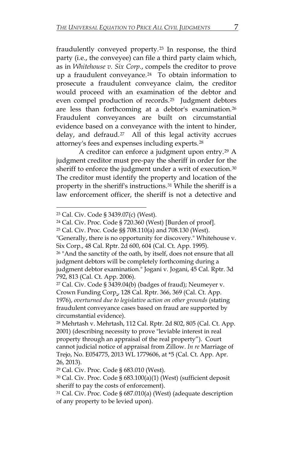fraudulently conveyed property.[23](#page-6-0) In response, the third party (i.e., the conveyee) can file a third party claim which, as in *Whitehouse v. Six Corp.*, compels the creditor to prove up a fraudulent conveyance.[24](#page-6-1) To obtain information to prosecute a fraudulent conveyance claim, the creditor would proceed with an examination of the debtor and even compel production of records.[25](#page-6-2) Judgment debtors are less than forthcoming at a debtor's examination.[26](#page-6-3) Fraudulent conveyances are built on circumstantial evidence based on a conveyance with the intent to hinder, delay, and defraud.[27](#page-6-4) All of this legal activity accrues attorney's fees and expenses including experts.[28](#page-6-5)

A creditor can enforce a judgment upon entry.[29](#page-6-6) A judgment creditor must pre-pay the sheriff in order for the sheriff to enforce the judgment under a writ of execution.<sup>[30](#page-6-7)</sup> The creditor must identify the property and location of the property in the sheriff's instructions.[31](#page-6-8) While the sheriff is a law enforcement officer, the sheriff is not a detective and

 $\overline{\phantom{a}}$ 

<span id="page-6-3"></span><sup>26</sup> "And the sanctity of the oath, by itself, does not ensure that all judgment debtors will be completely forthcoming during a

judgment debtor examination." Jogani v. Jogani, 45 Cal. Rptr. 3d 792, 813 (Cal. Ct. App. 2006).

<span id="page-6-0"></span><sup>23</sup> Cal. Civ. Code § 3439.07(c) (West).

<span id="page-6-1"></span><sup>24</sup> Cal. Civ. Proc. Code § 720.360 (West) [Burden of proof].

<span id="page-6-2"></span><sup>25</sup> Cal. Civ. Proc. Code §§ 708.110(a) and 708.130 (West).

<sup>&</sup>quot;Generally, there is no opportunity for discovery." Whitehouse v. Six Corp., 48 Cal. Rptr. 2d 600, 604 (Cal. Ct. App. 1995).

<span id="page-6-4"></span><sup>27</sup> Cal. Civ. Code § 3439.04(b) (badges of fraud); Neumeyer v. Crown Funding Corp., 128 Cal. Rptr. 366, 369 (Cal. Ct. App. 1976), *overturned due to legislative action on other grounds* (stating fraudulent conveyance cases based on fraud are supported by circumstantial evidence).

<span id="page-6-5"></span><sup>28</sup> Mehrtash v. Mehrtash, 112 Cal. Rptr. 2d 802, 805 (Cal. Ct. App. 2001) (describing necessity to prove "leviable interest in real property through an appraisal of the real property"). Court cannot judicial notice of appraisal from Zillow. *In re* Marriage of Trejo, No. E054775, 2013 WL 1779606, at \*5 (Cal. Ct. App. Apr. 26, 2013).

<span id="page-6-6"></span><sup>29</sup> Cal. Civ. Proc. Code § 683.010 (West).

<span id="page-6-7"></span><sup>30</sup> Cal. Civ. Proc. Code § 683.100(a)(1) (West) (sufficient deposit sheriff to pay the costs of enforcement).

<span id="page-6-8"></span><sup>31</sup> Cal. Civ. Proc. Code § 687.010(a) (West) (adequate description of any property to be levied upon).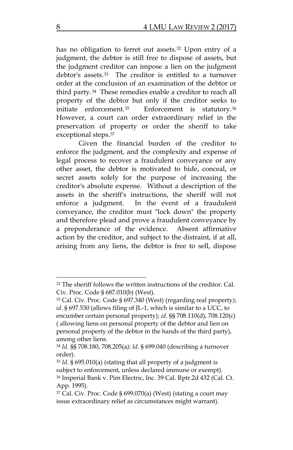has no obligation to ferret out assets.<sup>[32](#page-7-0)</sup> Upon entry of a judgment, the debtor is still free to dispose of assets, but the judgment creditor can impose a lien on the judgment debtor's assets.[33](#page-7-1) The creditor is entitled to a turnover order at the conclusion of an examination of the debtor or third party.[34](#page-7-2) These remedies enable a creditor to reach all property of the debtor but only if the creditor seeks to initiate enforcement.[35](#page-7-3) Enforcement is statutory.[36](#page-7-4) However, a court can order extraordinary relief in the preservation of property or order the sheriff to take exceptional steps.[37](#page-7-5) 

Given the financial burden of the creditor to enforce the judgment, and the complexity and expense of legal process to recover a fraudulent conveyance or any other asset, the debtor is motivated to hide, conceal, or secret assets solely for the purpose of increasing the creditor's absolute expense. Without a description of the assets in the sheriff's instructions, the sheriff will not enforce a judgment. In the event of a fraudulent conveyance, the creditor must "lock down" the property and therefore plead and prove a fraudulent conveyance by a preponderance of the evidence. Absent affirmative action by the creditor, and subject to the distraint, if at all, arising from any liens, the debtor is free to sell, dispose

<span id="page-7-0"></span><sup>32</sup> The sheriff follows the written instructions of the creditor. Cal. Civ. Proc. Code § 687.010(b) (West).

<span id="page-7-1"></span><sup>33</sup> Cal. Civ. Proc. Code § 697.340 (West) (regarding real property*)*; *id*. § 697.530 (allows filing of JL-1, which is similar to a UCC, to encumber certain personal property); *id*. §§ 708.110(d), 708.120(c) ( allowing liens on personal property of the debtor and lien on personal property of the debtor in the hands of the third party), among other liens.

<span id="page-7-2"></span><sup>34</sup> *Id*. §§ 708.180, 708.205(a*); Id*. § 699.040 (describing a turnover order).

<span id="page-7-4"></span><span id="page-7-3"></span><sup>35</sup> *Id*. § 695.010(a) (stating that all property of a judgment is subject to enforcement, unless declared immune or exempt). <sup>36</sup> Imperial Bank v. Pim Electric, Inc. 39 Cal. Rptr.2d 432 (Cal. Ct. App. 1995).

<span id="page-7-5"></span> $37$  Cal. Civ. Proc. Code § 699.070(a) (West) (stating a court may issue extraordinary relief as circumstances might warrant).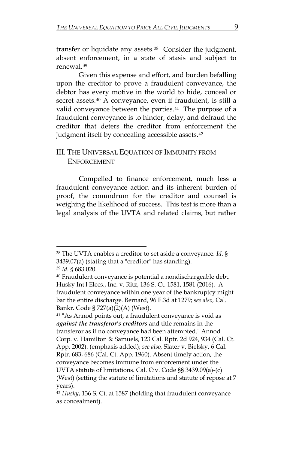transfer or liquidate any assets.[38](#page-8-0) Consider the judgment, absent enforcement, in a state of stasis and subject to renewal.[39](#page-8-1)

Given this expense and effort, and burden befalling upon the creditor to prove a fraudulent conveyance, the debtor has every motive in the world to hide, conceal or secret assets.[40](#page-8-2) A conveyance, even if fraudulent, is still a valid conveyance between the parties.<sup>[41](#page-8-3)</sup> The purpose of a fraudulent conveyance is to hinder, delay, and defraud the creditor that deters the creditor from enforcement the judgment itself by concealing accessible assets.<sup>[42](#page-8-4)</sup>

#### III. THE UNIVERSAL EQUATION OF IMMUNITY FROM ENFORCEMENT

Compelled to finance enforcement, much less a fraudulent conveyance action and its inherent burden of proof, the conundrum for the creditor and counsel is weighing the likelihood of success. This test is more than a legal analysis of the UVTA and related claims, but rather

<span id="page-8-0"></span><sup>38</sup> The UVTA enables a creditor to set aside a conveyance*. Id*. § 3439.07(a) (stating that a "creditor" has standing).

<span id="page-8-1"></span><sup>39</sup> *Id*. § 683.020.

<span id="page-8-2"></span><sup>40</sup> Fraudulent conveyance is potential a nondischargeable debt. Husky Int'l Elecs., Inc. v. Ritz, 136 S. Ct. 1581, 1581 (2016)*.* A fraudulent conveyance within one year of the bankruptcy might bar the entire discharge*.* Bernard, 96 F.3d at 1279; *see also,* Cal. Bankr. Code § 727(a)(2)(A) (West).

<span id="page-8-3"></span><sup>41</sup> "As Annod points out, a fraudulent conveyance is void as *against the transferor's creditors* and title remains in the transferor as if no conveyance had been attempted." Annod Corp. v. Hamilton & Samuels, 123 Cal. Rptr. 2d 924, 934 (Cal. Ct. App. 2002). (emphasis added); *see also,* Slater v. Bielsky, 6 Cal. Rptr. 683, 686 (Cal. Ct. App. 1960). Absent timely action, the conveyance becomes immune from enforcement under the UVTA statute of limitations. Cal. Civ. Code §§ 3439.09(a)-(c) (West) (setting the statute of limitations and statute of repose at 7 years).

<span id="page-8-4"></span><sup>42</sup> *Husky*, 136 S. Ct. at 1587 (holding that fraudulent conveyance as concealment).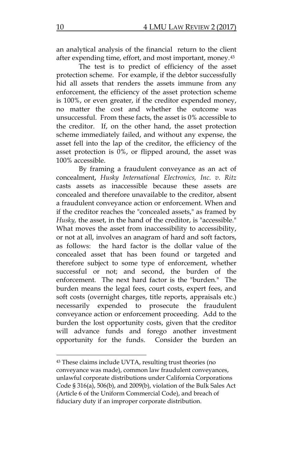an analytical analysis of the financial return to the client after expending time, effort, and most important, money.[43](#page-9-0)

The test is to predict of efficiency of the asset protection scheme. For example, if the debtor successfully hid all assets that renders the assets immune from any enforcement, the efficiency of the asset protection scheme is 100%, or even greater, if the creditor expended money, no matter the cost and whether the outcome was unsuccessful. From these facts, the asset is 0% accessible to the creditor. If, on the other hand, the asset protection scheme immediately failed, and without any expense, the asset fell into the lap of the creditor, the efficiency of the asset protection is 0%, or flipped around, the asset was 100% accessible.

By framing a fraudulent conveyance as an act of concealment, *Husky International Electronics, Inc. v. Ritz* casts assets as inaccessible because these assets are concealed and therefore unavailable to the creditor, absent a fraudulent conveyance action or enforcement. When and if the creditor reaches the "concealed assets," as framed by *Husky,* the asset, in the hand of the creditor, is "accessible." What moves the asset from inaccessibility to accessibility, or not at all, involves an anagram of hard and soft factors, as follows: the hard factor is the dollar value of the concealed asset that has been found or targeted and therefore subject to some type of enforcement, whether successful or not; and second, the burden of the enforcement. The next hard factor is the "burden." The burden means the legal fees, court costs, expert fees, and soft costs (overnight charges, title reports, appraisals etc.) necessarily expended to prosecute the fraudulent conveyance action or enforcement proceeding. Add to the burden the lost opportunity costs, given that the creditor will advance funds and forego another investment opportunity for the funds. Consider the burden an

<span id="page-9-0"></span><sup>43</sup> These claims include UVTA, resulting trust theories (no conveyance was made), common law fraudulent conveyances, unlawful corporate distributions under California Corporations Code § 316(a), 506(b), and 2009(b), violation of the Bulk Sales Act (Article 6 of the Uniform Commercial Code), and breach of fiduciary duty if an improper corporate distribution.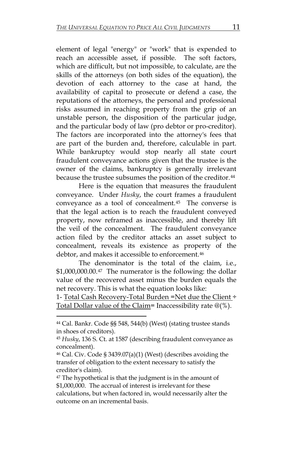element of legal "energy" or "work" that is expended to reach an accessible asset, if possible. The soft factors, which are difficult, but not impossible, to calculate, are the skills of the attorneys (on both sides of the equation), the devotion of each attorney to the case at hand, the availability of capital to prosecute or defend a case, the reputations of the attorneys, the personal and professional risks assumed in reaching property from the grip of an unstable person, the disposition of the particular judge, and the particular body of law (pro debtor or pro-creditor). The factors are incorporated into the attorney's fees that are part of the burden and, therefore, calculable in part. While bankruptcy would stop nearly all state court fraudulent conveyance actions given that the trustee is the owner of the claims, bankruptcy is generally irrelevant because the trustee subsumes the position of the creditor.<sup>[44](#page-10-0)</sup>

Here is the equation that measures the fraudulent conveyance. Under *Husky*, the court frames a fraudulent conveyance as a tool of concealment.[45](#page-10-1) The converse is that the legal action is to reach the fraudulent conveyed property, now reframed as inaccessible, and thereby lift the veil of the concealment. The fraudulent conveyance action filed by the creditor attacks an asset subject to concealment, reveals its existence as property of the debtor, and makes it accessible to enforcement.<sup>[46](#page-10-2)</sup>

The denominator is the total of the claim, i.e., \$1,000,000.00[.47](#page-10-3) The numerator is the following: the dollar value of the recovered asset minus the burden equals the net recovery. This is what the equation looks like:

1- Total Cash Recovery-Total Burden =Net due the Client ÷ Total Dollar value of the Claim= Inaccessibility rate @(%).

<span id="page-10-0"></span><sup>44</sup> Cal. Bankr. Code §§ 548, 544(b) (West) (stating trustee stands in shoes of creditors).

<span id="page-10-1"></span><sup>45</sup> *Husky*, 136 S. Ct. at 1587 (describing fraudulent conveyance as concealment).

<span id="page-10-2"></span><sup>46</sup> Cal. Civ. Code § 3439.07(a)(1) (West) (describes avoiding the transfer of obligation to the extent necessary to satisfy the creditor's claim).

<span id="page-10-3"></span> $47$  The hypothetical is that the judgment is in the amount of \$1,000,000. The accrual of interest is irrelevant for these calculations, but when factored in, would necessarily alter the outcome on an incremental basis.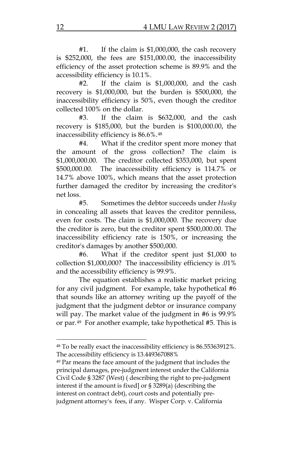#1. If the claim is \$1,000,000, the cash recovery is \$252,000, the fees are \$151,000.00, the inaccessibility efficiency of the asset protection scheme is 89.9% and the accessibility efficiency is 10.1%.

#2. If the claim is \$1,000,000, and the cash recovery is \$1,000,000, but the burden is \$500,000, the inaccessibility efficiency is 50%, even though the creditor collected 100% on the dollar.

#3. If the claim is \$632,000, and the cash recovery is \$185,000, but the burden is \$100,000.00, the inaccessibility efficiency is 86.6%.[48](#page-11-0)

#4. What if the creditor spent more money that the amount of the gross collection? The claim is \$1,000,000.00. The creditor collected \$353,000, but spent \$500,000.00. The inaccessibility efficiency is 114.7% or 14.7% above 100%, which means that the asset protection further damaged the creditor by increasing the creditor's net loss.

#5. Sometimes the debtor succeeds under *Husky* in concealing all assets that leaves the creditor penniless, even for costs. The claim is \$1,000,000. The recovery due the creditor is zero, but the creditor spent \$500,000.00. The inaccessibility efficiency rate is 150%, or increasing the creditor's damages by another \$500,000.

#6. What if the creditor spent just \$1,000 to collection \$1,000,000? The inaccessibility efficiency is .01% and the accessibility efficiency is 99.9%.

The equation establishes a realistic market pricing for any civil judgment. For example, take hypothetical #6 that sounds like an attorney writing up the payoff of the judgment that the judgment debtor or insurance company will pay. The market value of the judgment in #6 is 99.9% or par.[49](#page-11-1) For another example, take hypothetical #5. This is

<span id="page-11-0"></span><sup>48</sup> To be really exact the inaccessibility efficiency is 86.55363912%. The accessibility efficiency is 13.449367088%

<span id="page-11-1"></span><sup>49</sup> Par means the face amount of the judgment that includes the principal damages, pre-judgment interest under the California Civil Code § 3287 (West) ( describing the right to pre-judgment interest if the amount is fixed] or § 3289(a) (describing the interest on contract debt), court costs and potentially prejudgment attorney's fees, if any. Wisper Corp. v. California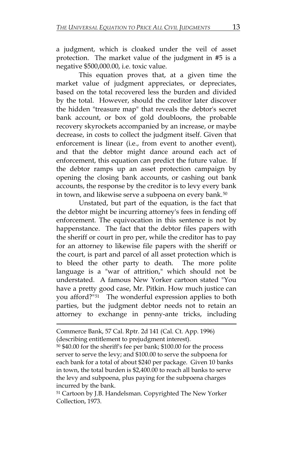a judgment, which is cloaked under the veil of asset protection. The market value of the judgment in #5 is a negative \$500,000.00, i.e. toxic value.

This equation proves that, at a given time the market value of judgment appreciates, or depreciates, based on the total recovered less the burden and divided by the total. However, should the creditor later discover the hidden "treasure map" that reveals the debtor's secret bank account, or box of gold doubloons, the probable recovery skyrockets accompanied by an increase, or maybe decrease, in costs to collect the judgment itself. Given that enforcement is linear (i.e., from event to another event), and that the debtor might dance around each act of enforcement, this equation can predict the future value. If the debtor ramps up an asset protection campaign by opening the closing bank accounts, or cashing out bank accounts, the response by the creditor is to levy every bank in town, and likewise serve a subpoena on every bank.<sup>[50](#page-12-0)</sup>

Unstated, but part of the equation, is the fact that the debtor might be incurring attorney's fees in fending off enforcement. The equivocation in this sentence is not by happenstance. The fact that the debtor files papers with the sheriff or court in pro per, while the creditor has to pay for an attorney to likewise file papers with the sheriff or the court, is part and parcel of all asset protection which is to bleed the other party to death. The more polite language is a "war of attrition," which should not be understated. A famous New Yorker cartoon stated "You have a pretty good case, Mr. Pitkin. How much justice can you afford?"[51](#page-12-1) The wonderful expression applies to both parties, but the judgment debtor needs not to retain an attorney to exchange in penny-ante tricks, including

Commerce Bank, 57 Cal. Rptr. 2d 141 (Cal. Ct. App. 1996) (describing entitlement to prejudgment interest).

 $\overline{\phantom{a}}$ 

<span id="page-12-0"></span><sup>50</sup> \$40.00 for the sheriff's fee per bank; \$100.00 for the process server to serve the levy; and \$100.00 to serve the subpoena for each bank for a total of about \$240 per package. Given 10 banks in town, the total burden is \$2,400.00 to reach all banks to serve the levy and subpoena, plus paying for the subpoena charges incurred by the bank.

<span id="page-12-1"></span><sup>51</sup> Cartoon by J.B. Handelsman. Copyrighted The New Yorker Collection, 1973.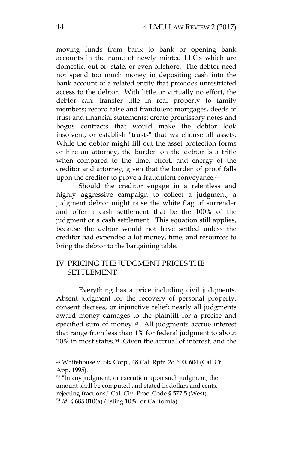moving funds from bank to bank or opening bank accounts in the name of newly minted LLC's which are domestic, out-of- state, or even offshore. The debtor need not spend too much money in depositing cash into the bank account of a related entity that provides unrestricted access to the debtor. With little or virtually no effort, the debtor can: transfer title in real property to family members; record false and fraudulent mortgages, deeds of trust and financial statements; create promissory notes and bogus contracts that would make the debtor look insolvent; or establish "trusts" that warehouse all assets. While the debtor might fill out the asset protection forms or hire an attorney, the burden on the debtor is a trifle when compared to the time, effort, and energy of the creditor and attorney, given that the burden of proof falls upon the creditor to prove a fraudulent conveyance.<sup>[52](#page-13-0)</sup>

Should the creditor engage in a relentless and highly aggressive campaign to collect a judgment, a judgment debtor might raise the white flag of surrender and offer a cash settlement that be the 100% of the judgment or a cash settlement. This equation still applies, because the debtor would not have settled unless the creditor had expended a lot money, time, and resources to bring the debtor to the bargaining table.

#### IV. PRICING THE JUDGMENT PRICES THE SETTLEMENT

Everything has a price including civil judgments. Absent judgment for the recovery of personal property, consent decrees, or injunctive relief; nearly all judgments award money damages to the plaintiff for a precise and specified sum of money.[53](#page-13-1) All judgments accrue interest that range from less than 1% for federal judgment to about 10% in most states.[54](#page-13-2) Given the accrual of interest, and the

<span id="page-13-0"></span>*<sup>52</sup>* Whitehouse v. Six Corp., 48 Cal. Rptr. 2d 600, 604 (Cal. Ct. App. 1995).

<span id="page-13-2"></span><span id="page-13-1"></span><sup>53</sup> "In any judgment, or execution upon such judgment, the amount shall be computed and stated in dollars and cents, rejecting fractions." Cal. Civ. Proc. Code § 577.5 (West). <sup>54</sup> *Id.* § 685.010(a) (listing 10% for California).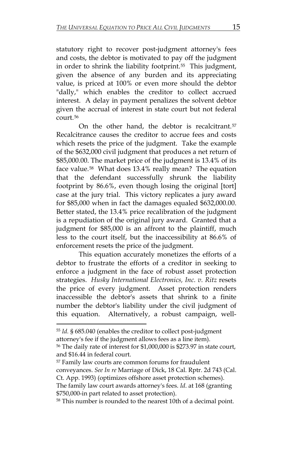statutory right to recover post-judgment attorney's fees and costs, the debtor is motivated to pay off the judgment in order to shrink the liability footprint.[55](#page-14-0) This judgment, given the absence of any burden and its appreciating value, is priced at 100% or even more should the debtor "dally," which enables the creditor to collect accrued interest. A delay in payment penalizes the solvent debtor given the accrual of interest in state court but not federal court.[56](#page-14-1)

On the other hand, the debtor is recalcitrant.[57](#page-14-2) Recalcitrance causes the creditor to accrue fees and costs which resets the price of the judgment. Take the example of the \$632,000 civil judgment that produces a net return of \$85,000.00. The market price of the judgment is 13.4% of its face value.[58](#page-14-3) What does 13.4% really mean? The equation that the defendant successfully shrunk the liability footprint by 86.6%, even though losing the original [tort] case at the jury trial. This victory replicates a jury award for \$85,000 when in fact the damages equaled \$632,000.00. Better stated, the 13.4% price recalibration of the judgment is a repudiation of the original jury award. Granted that a judgment for \$85,000 is an affront to the plaintiff, much less to the court itself, but the inaccessibility at 86.6% of enforcement resets the price of the judgment.

This equation accurately monetizes the efforts of a debtor to frustrate the efforts of a creditor in seeking to enforce a judgment in the face of robust asset protection strategies. *Husky International Electronics, Inc. v. Ritz* resets the price of every judgment. Asset protection renders inaccessible the debtor's assets that shrink to a finite number the debtor's liability under the civil judgment of this equation. Alternatively, a robust campaign, well-

 $\overline{\phantom{a}}$ 

<span id="page-14-2"></span><sup>57</sup> Family law courts are common forums for fraudulent conveyances. *See In re* Marriage of Dick, 18 Cal. Rptr. 2d 743 (Cal. Ct. App. 1993) (optimizes offshore asset protection schemes). The family law court awards attorney's fees. *Id*. at 168 (granting \$750,000-in part related to asset protection).

<span id="page-14-0"></span><sup>55</sup> *Id.* § 685.040 (enables the creditor to collect post-judgment attorney's fee if the judgment allows fees as a line item).

<span id="page-14-1"></span><sup>56</sup> The daily rate of interest for \$1,000,000 is \$273.97 in state court, and \$16.44 in federal court.

<span id="page-14-3"></span><sup>58</sup> This number is rounded to the nearest 10th of a decimal point.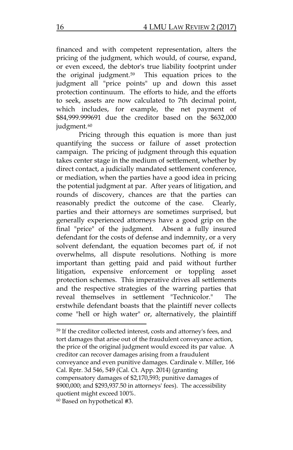financed and with competent representation, alters the pricing of the judgment, which would, of course, expand, or even exceed, the debtor's true liability footprint under the original judgment[.59](#page-15-0) This equation prices to the judgment all "price points" up and down this asset protection continuum. The efforts to hide, and the efforts to seek, assets are now calculated to 7th decimal point, which includes, for example, the net payment of \$84,999.999691 due the creditor based on the \$632,000 judgment.<sup>[60](#page-15-1)</sup>

Pricing through this equation is more than just quantifying the success or failure of asset protection campaign. The pricing of judgment through this equation takes center stage in the medium of settlement, whether by direct contact, a judicially mandated settlement conference, or mediation, when the parties have a good idea in pricing the potential judgment at par. After years of litigation, and rounds of discovery, chances are that the parties can reasonably predict the outcome of the case. Clearly, parties and their attorneys are sometimes surprised, but generally experienced attorneys have a good grip on the final "price" of the judgment. Absent a fully insured defendant for the costs of defense and indemnity, or a very solvent defendant, the equation becomes part of, if not overwhelms, all dispute resolutions. Nothing is more important than getting paid and paid without further litigation, expensive enforcement or toppling asset protection schemes. This imperative drives all settlements and the respective strategies of the warring parties that reveal themselves in settlement "Technicolor." The erstwhile defendant boasts that the plaintiff never collects come "hell or high water" or, alternatively, the plaintiff

<span id="page-15-1"></span><span id="page-15-0"></span><sup>59</sup> If the creditor collected interest, costs and attorney's fees, and tort damages that arise out of the fraudulent conveyance action, the price of the original judgment would exceed its par value. A creditor can recover damages arising from a fraudulent conveyance and even punitive damages. Cardinale v. Miller, 166 Cal. Rptr. 3d 546, 549 (Cal. Ct. App. 2014) (granting compensatory damages of \$2,170,593; punitive damages of \$900,000; and \$293,937.50 in attorneys' fees). The accessibility quotient might exceed 100%. <sup>60</sup> Based on hypothetical #3.